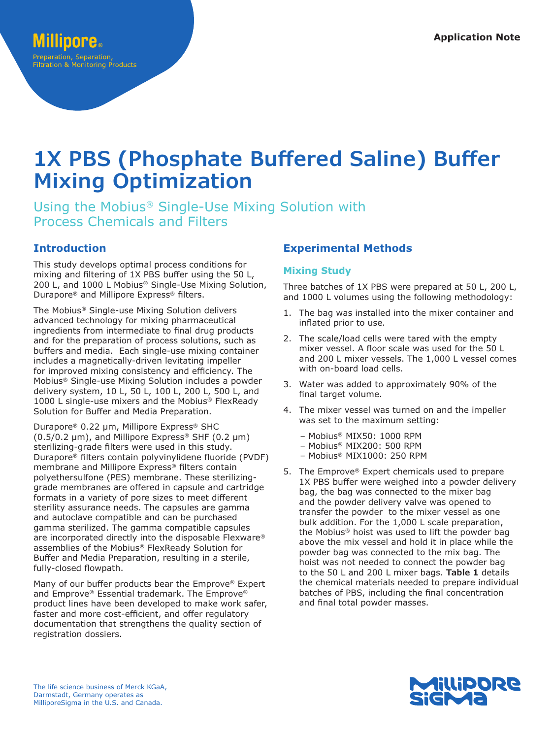# **1X PBS (Phosphate Buffered Saline) Buffer Mixing Optimization**

Using the Mobius® Single-Use Mixing Solution with Process Chemicals and Filters

## **Introduction**

This study develops optimal process conditions for mixing and filtering of 1X PBS buffer using the 50 L, 200 L, and 1000 L Mobius® Single-Use Mixing Solution, Durapore® and Millipore Express® filters.

The Mobius® Single-use Mixing Solution delivers advanced technology for mixing pharmaceutical ingredients from intermediate to final drug products and for the preparation of process solutions, such as buffers and media. Each single-use mixing container includes a magnetically-driven levitating impeller for improved mixing consistency and efficiency. The Mobius® Single-use Mixing Solution includes a powder delivery system, 10 L, 50 L, 100 L, 200 L, 500 L, and 1000 L single-use mixers and the Mobius<sup>®</sup> FlexReady Solution for Buffer and Media Preparation.

Durapore® 0.22 µm, Millipore Express® SHC  $(0.5/0.2 \mu m)$ , and Millipore Express<sup>®</sup> SHF  $(0.2 \mu m)$ sterilizing-grade filters were used in this study. Durapore® filters contain polyvinylidene fluoride (PVDF) membrane and Millipore Express® filters contain polyethersulfone (PES) membrane. These sterilizinggrade membranes are offered in capsule and cartridge formats in a variety of pore sizes to meet different sterility assurance needs. The capsules are gamma and autoclave compatible and can be purchased gamma sterilized. The gamma compatible capsules are incorporated directly into the disposable Flexware® assemblies of the Mobius® FlexReady Solution for Buffer and Media Preparation, resulting in a sterile, fully-closed flowpath.

Many of our buffer products bear the Emprove® Expert and Emprove® Essential trademark. The Emprove® product lines have been developed to make work safer, faster and more cost-efficient, and offer regulatory documentation that strengthens the quality section of registration dossiers.

## **Experimental Methods**

### **Mixing Study**

Three batches of 1X PBS were prepared at 50 L, 200 L, and 1000 L volumes using the following methodology:

- 1. The bag was installed into the mixer container and inflated prior to use.
- 2. The scale/load cells were tared with the empty mixer vessel. A floor scale was used for the 50 L and 200 L mixer vessels. The 1,000 L vessel comes with on-board load cells.
- 3. Water was added to approximately 90% of the final target volume.
- 4. The mixer vessel was turned on and the impeller was set to the maximum setting:
	- Mobius® MIX50: 1000 RPM
	- Mobius® MIX200: 500 RPM
	- Mobius® MIX1000: 250 RPM
- 5. The Emprove® Expert chemicals used to prepare 1X PBS buffer were weighed into a powder delivery bag, the bag was connected to the mixer bag and the powder delivery valve was opened to transfer the powder to the mixer vessel as one bulk addition. For the 1,000 L scale preparation, the Mobius® hoist was used to lift the powder bag above the mix vessel and hold it in place while the powder bag was connected to the mix bag. The hoist was not needed to connect the powder bag to the 50 L and 200 L mixer bags. **Table 1** details the chemical materials needed to prepare individual batches of PBS, including the final concentration and final total powder masses.

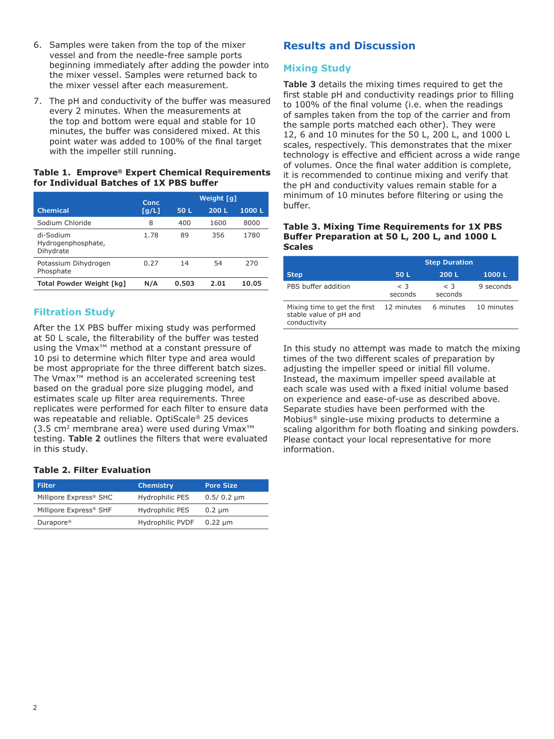- 6. Samples were taken from the top of the mixer vessel and from the needle-free sample ports beginning immediately after adding the powder into the mixer vessel. Samples were returned back to the mixer vessel after each measurement.
- 7. The pH and conductivity of the buffer was measured every 2 minutes. When the measurements at the top and bottom were equal and stable for 10 minutes, the buffer was considered mixed. At this point water was added to 100% of the final target with the impeller still running.

#### **Table 1. Emprove® Expert Chemical Requirements for Individual Batches of 1X PBS buffer**

|                                              | Conc  | Weight [g] |      |       |
|----------------------------------------------|-------|------------|------|-------|
| <b>Chemical</b>                              | [g/L] | 50 L       | 200L | 1000L |
| Sodium Chloride                              | 8     | 400        | 1600 | 8000  |
| di-Sodium<br>Hydrogenphosphate,<br>Dihydrate | 1.78  | 89         | 356  | 1780  |
| Potassium Dihydrogen<br>Phosphate            | 0.27  | 14         | 54   | 270   |
| Total Powder Weight [kg]                     | N/A   | 0.503      | 2.01 | 10.05 |

## **Filtration Study**

After the 1X PBS buffer mixing study was performed at 50 L scale, the filterability of the buffer was tested using the Vmax™ method at a constant pressure of 10 psi to determine which filter type and area would be most appropriate for the three different batch sizes. The Vmax™ method is an accelerated screening test based on the gradual pore size plugging model, and estimates scale up filter area requirements. Three replicates were performed for each filter to ensure data was repeatable and reliable. OptiScale® 25 devices (3.5 cm2 membrane area) were used during Vmax™ testing. **Table 2** outlines the filters that were evaluated in this study.

#### **Table 2. Filter Evaluation**

| <b>Filter</b>                      | <b>Chemistry</b>        | <b>Pore Size</b> |
|------------------------------------|-------------------------|------------------|
| Millipore Express® SHC             | Hydrophilic PES         | $0.5/0.2 \mu m$  |
| Millipore Express <sup>®</sup> SHF | Hydrophilic PES         | $0.2 \mu m$      |
| Durapore <sup>®</sup>              | <b>Hydrophilic PVDF</b> | $0.22 \mu m$     |

## **Results and Discussion**

## **Mixing Study**

Table 3 details the mixing times required to get the first stable pH and conductivity readings prior to filling to 100% of the final volume (i.e. when the readings of samples taken from the top of the carrier and from the sample ports matched each other). They were 12, 6 and 10 minutes for the 50 L, 200 L, and 1000 L scales, respectively. This demonstrates that the mixer technology is effective and efficient across a wide range of volumes. Once the final water addition is complete, it is recommended to continue mixing and verify that the pH and conductivity values remain stable for a minimum of 10 minutes before filtering or using the buffer.

#### **Table 3. Mixing Time Requirements for 1X PBS Buffer Preparation at 50 L, 200 L, and 1000 L Scales**

|                                                                        | <b>Step Duration</b> |                     |            |
|------------------------------------------------------------------------|----------------------|---------------------|------------|
| <b>Step</b>                                                            | 50 L                 | 200L                | 1000L      |
| PBS buffer addition                                                    | $\leq$ 3<br>seconds  | $\leq$ 3<br>seconds | 9 seconds  |
| Mixing time to get the first<br>stable value of pH and<br>conductivity | 12 minutes           | 6 minutes           | 10 minutes |

In this study no attempt was made to match the mixing times of the two different scales of preparation by adjusting the impeller speed or initial fill volume. Instead, the maximum impeller speed available at each scale was used with a fixed initial volume based on experience and ease-of-use as described above. Separate studies have been performed with the Mobius® single-use mixing products to determine a scaling algorithm for both floating and sinking powders. Please contact your local representative for more information.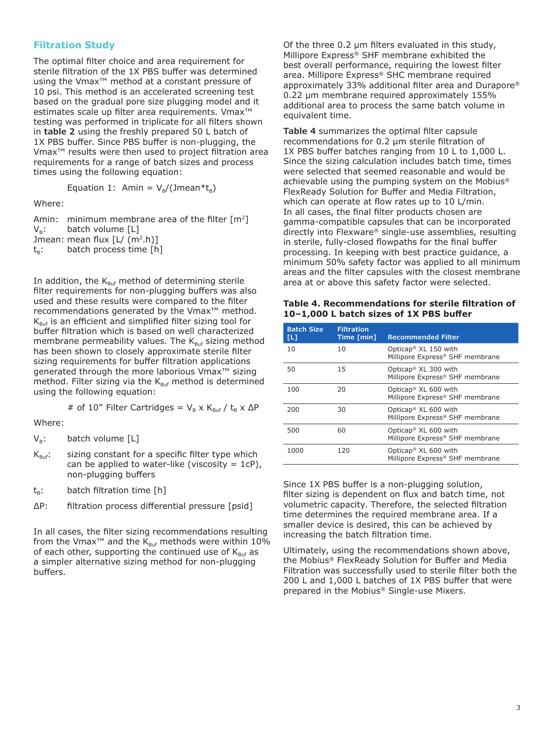#### **Filtration Study**

The optimal filter choice and area requirement for sterile filtration of the 1X PBS buffer was determined using the Vmax™ method at a constant pressure of 10 psi. This method is an accelerated screening test based on the gradual pore size plugging model and it estimates scale up filter area requirements. Vmax™ testing was performed in triplicate for all filters shown in **table 2** using the freshly prepared 50 L batch of 1X PBS buffer. Since PBS buffer is non-plugging, the Vmax™ results were then used to project filtration area requirements for a range of batch sizes and process times using the following equation:

Equation 1: Amin =  $V_B/(Jmean * t_B)$ 

Where:

Amin: minimum membrane area of the filter  $[m^2]$  $V_B$ : batch volume [L] Jmean: mean flux  $[L/(m^2.h)]$  $t_B$ : batch process time [h]

In addition, the  $K_{\text{Buf}}$  method of determining sterile filter requirements for non-plugging buffers was also used and these results were compared to the filter recommendations generated by the Vmax™ method.  $K_{\text{Buf}}$  is an efficient and simplified filter sizing tool for buffer filtration which is based on well characterized membrane permeability values. The  $K_{\text{Buf}}$  sizing method has been shown to closely approximate sterile filter sizing requirements for buffer filtration applications generated through the more laborious Vmax™ sizing method. Filter sizing via the  $K_{\text{Buf}}$  method is determined using the following equation:

# of 10" Filter Cartridges =  $V_B$  x K<sub>Buf</sub> / t<sub>B</sub> x  $\Delta P$ 

Where:

 $V_B$ : batch volume [L]

- $K_{\text{Buf}}$ : sizing constant for a specific filter type which can be applied to water-like (viscosity  $= 1cP$ ), non-plugging buffers
- $t_B$ : batch filtration time [h]
- ΔP: filtration process differential pressure [psid]

In all cases, the filter sizing recommendations resulting from the Vmax<sup>™</sup> and the K<sub>Buf</sub> methods were within 10% of each other, supporting the continued use of  $K_{Buf}$  as a simpler alternative sizing method for non-plugging buffers.

Of the three 0.2 µm filters evaluated in this study, Millipore Express® SHF membrane exhibited the best overall performance, requiring the lowest filter area. Millipore Express® SHC membrane required approximately 33% additional filter area and Durapore® 0.22 µm membrane required approximately 155% additional area to process the same batch volume in equivalent time.

**Table 4** summarizes the optimal filter capsule recommendations for 0.2 μm sterile filtration of 1X PBS buffer batches ranging from 10 L to 1,000 L. Since the sizing calculation includes batch time, times were selected that seemed reasonable and would be achievable using the pumping system on the Mobius® FlexReady Solution for Buffer and Media Filtration, which can operate at flow rates up to 10 L/min. In all cases, the final filter products chosen are gamma-compatible capsules that can be incorporated directly into Flexware® single-use assemblies, resulting in sterile, fully-closed flowpaths for the final buffer processing. In keeping with best practice guidance, a minimum 50% safety factor was applied to all minimum areas and the filter capsules with the closest membrane area at or above this safety factor were selected.

| Table 4. Recommendations for sterile filtration of |
|----------------------------------------------------|
| 10-1,000 L batch sizes of 1X PBS buffer            |

| <b>Batch Size</b><br>ш | <b>Filtration</b><br>Time [min] | <b>Recommended Filter</b>                                             |
|------------------------|---------------------------------|-----------------------------------------------------------------------|
| 10                     | 10                              | Opticap <sup>®</sup> $XL$ 150 with<br>Millipore Express® SHF membrane |
| 50                     | 15                              | Opticap <sup>®</sup> XL 300 with<br>Millipore Express® SHF membrane   |
| 100                    | 20                              | Opticap <sup>®</sup> XL 600 with<br>Millipore Express® SHF membrane   |
| 200                    | 30                              | Opticap <sup>®</sup> XL 600 with<br>Millipore Express® SHF membrane   |
| 500                    | 60                              | Opticap <sup>®</sup> XL 600 with<br>Millipore Express® SHF membrane   |
| 1000                   | 120                             | Opticap <sup>®</sup> XL 600 with<br>Millipore Express® SHF membrane   |

Since 1X PBS buffer is a non-plugging solution, filter sizing is dependent on flux and batch time, not volumetric capacity. Therefore, the selected filtration time determines the required membrane area. If a smaller device is desired, this can be achieved by increasing the batch filtration time.

Ultimately, using the recommendations shown above, the Mobius® FlexReady Solution for Buffer and Media Filtration was successfully used to sterile filter both the 200 L and 1,000 L batches of 1X PBS buffer that were prepared in the Mobius® Single-use Mixers.